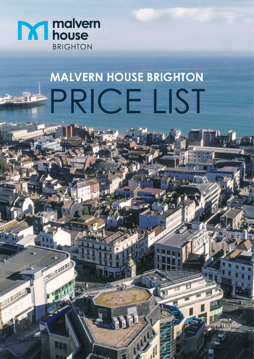

1886

**CALL** 

# **PRICE LIST MALVERN HOUSE BRIGHTON**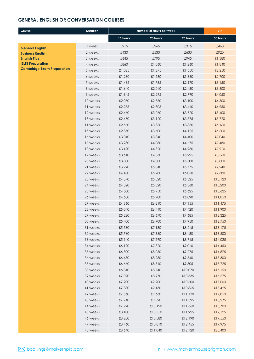#### **GENERAL ENGLISH OR CONVERSATION COURSES**

| Course                                            | <b>Duration</b> | Number of Hours per week |          | <b>VIP</b> |          |
|---------------------------------------------------|-----------------|--------------------------|----------|------------|----------|
|                                                   |                 | 15 hours                 | 20 hours | 25 hours   | 30 hours |
|                                                   | 1 week          | £215                     | £265     | £315       | £460     |
| <b>General English</b><br><b>Business English</b> | 2 weeks         | £430                     | £530     | £630       | £920     |
| <b>English Plus</b>                               | 3 weeks         | £645                     | £795     | £945       | £1,380   |
| <b>IELTS Preparation</b>                          | 4 weeks         | £860                     | £1,060   | £1,260     | £1,840   |
| <b>Cambridge Exam Preparation</b>                 | 5 weeks         | £1,025                   | £1,275   | £1,550     | £2,250   |
|                                                   | 6 weeks         | £1,230                   | £1,530   | £1,860     | £2,700   |
|                                                   | 7 weeks         | £1,435                   | £1,785   | £2,170     | £3,150   |
|                                                   | 8 weeks         | £1,640                   | £2,040   | £2,480     | £3,600   |
|                                                   | 9 weeks         | £1,845                   | £2,295   | £2,790     | £4,050   |
|                                                   | 10 weeks        | £2,050                   | £2,550   | £3,100     | £4,500   |
|                                                   | 11 weeks        | £2,255                   | £2,805   | £3,410     | £4,950   |
|                                                   | 12 weeks        | £2,460                   | £3,060   | £3,720     | £5,400   |
|                                                   | 13 weeks        | £2,470                   | £3,120   | £3,575     | £5,720   |
|                                                   | 14 weeks        | £2,660                   | £3,360   | £3,850     | £6,160   |
|                                                   | 15 weeks        | £2,850                   | £3,600   | £4,125     | £6,600   |
|                                                   | 16 weeks        | £3,040                   | £3,840   | £4,400     | £7,040   |
|                                                   | 17 weeks        | £3,230                   | £4,080   | £4,675     | £7,480   |
|                                                   | 18 weeks        | £3,420                   | £4,320   | £4,950     | £7,920   |
|                                                   | 19 weeks        | £3,610                   | £4,560   | £5,225     | £8,360   |
|                                                   | 20 weeks        | £3,800                   | £4,800   | £5,500     | £8,800   |
|                                                   | 21 weeks        | £3,990                   | £5,040   | £5,775     | £9,240   |
|                                                   | 22 weeks        | £4,180                   | £5,280   | £6,050     | £9,680   |
|                                                   | 23 weeks        | £4,370                   | £5,520   | £6,325     | £10,120  |
|                                                   | 24 weeks        | £4,320                   | £5,520   | £6,360     | £10,200  |
|                                                   | 25 weeks        | £4,500                   | £5,750   | £6,625     | £10,625  |
|                                                   | 26 weeks        | £4,680                   | £5,980   | £6,890     | £11,050  |
|                                                   | 27 weeks        | £4,860                   | £6,210   | £7,155     | £11,475  |
|                                                   | 28 weeks        | £5,040                   | £6,440   | £7,420     | £11,900  |
|                                                   | 29 weeks        | £5,220                   | £6,670   | £7,685     | £12,325  |
|                                                   | 30 weeks        | £5,400                   | £6,900   | £7,950     | £12,750  |
|                                                   | 31 weeks        | £5,580                   | £7,130   | £8,215     | £13,175  |
|                                                   | 32 weeks        | £5,760                   | £7,360   | £8,480     | £13,600  |
|                                                   | 33 weeks        | £5,940                   | £7,590   | £8,745     | £14,025  |
|                                                   | 34 weeks        | £6,120                   | £7,820   | £9,010     | £14,450  |
|                                                   | 35 weeks        | £6,300                   | £8,050   | £9,275     | £14,875  |
|                                                   | 36 weeks        | £6,480                   | £8,280   | £9,540     | £15,300  |
|                                                   | 37 weeks        | £6,660                   | £8,510   | £9,805     | £15,725  |
|                                                   | 38 weeks        | £6,840                   | £8,740   | £10,070    | £16,150  |
|                                                   | 39 weeks        | £7,020                   | £8,970   | £10,335    | £16,575  |
|                                                   | 40 weeks        | £7,200                   | £9,200   | £10,600    | £17,000  |
|                                                   | 41 weeks        | £7,380                   | £9,430   | £10,865    | £17,425  |
|                                                   | 42 weeks        | £7,560                   | £9,660   | £11,130    | £17,850  |
|                                                   | 43 weeks        | £7,740                   | £9,890   | £11,395    | £18,275  |
|                                                   | 44 weeks        | £7,920                   | £10,120  | £11,660    | £18,700  |
|                                                   | 45 weeks        | £8,100                   | £10,350  | £11,925    | £19,125  |
|                                                   | 46 weeks        | £8,280                   | £10,580  | £12,190    | £19,550  |
|                                                   | 47 weeks        | £8,460                   | £10,810  | £12,455    | £19,975  |
|                                                   | 48 weeks        | £8,640                   | £11,040  | £12,720    | £20,400  |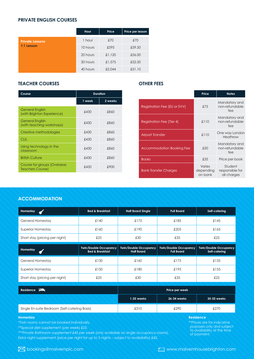# **PRIVATE ENGLISH COURSES**

|                        | Hour     | Price  | Price per lesson |
|------------------------|----------|--------|------------------|
| <b>Private Lessons</b> | 1 hour   | £70    | £70              |
| 1:1 Lesson             | 10 hours | £595   | £59.50           |
|                        | 20 hours | £1,120 | £56.00           |
|                        | 30 hours | £1,575 | £52.50           |
|                        | 40 hours | £2,044 | £51.10           |

#### **TEACHER COURSES**

| <b>Duration</b> |         |                                  |
|-----------------|---------|----------------------------------|
| 1 week          | 2 weeks |                                  |
| £430            | £860    | Registration Fee (EU or SVV)     |
| £430            | £860    | <b>Registration Fee (Tier 4)</b> |
| £430            | £860    | <b>Airport Transfer</b>          |
| £430            | £860    |                                  |
| £430            | £860    | Accommodation Booking F          |
| £430            | £860    | <b>Books</b>                     |
| £450            | £900    | <b>Bank Transfer Charges</b>     |
|                 |         |                                  |

### **OTHER FEES**

| on              |                              | Price                          | <b>Notes</b>                              |
|-----------------|------------------------------|--------------------------------|-------------------------------------------|
| 2 weeks<br>£860 | Registration Fee (EU or SVV) | £75                            | Mandatory and<br>non-refundable<br>fee    |
| £860            | Registration Fee (Tier 4)    | £110                           | Mandatory and<br>non-refundable<br>fee    |
| £860<br>£860    | <b>Airport Transfer</b>      | £110                           | One way London<br>Heathrow                |
| £860            | Accommodation Booking Fee    | £50                            | Mandatory and<br>non-refundable<br>fee    |
| £860            | <b>Books</b>                 | £35                            | Price per book                            |
| £900            | <b>Bank Transfer Charges</b> | Varies<br>depending<br>on bank | Student<br>responsible for<br>all charges |

## **ACCOMMODATION** Short stay (pricing per night) £25 £30 £35 £25

| Homestay<br>ď                  | <b>Bed &amp; Breakfast</b>                                 | <b>Half Board Single</b>                          | <b>Full Board</b>                                 | Self-catering                                 |
|--------------------------------|------------------------------------------------------------|---------------------------------------------------|---------------------------------------------------|-----------------------------------------------|
| <b>General Homestay</b>        | £140                                                       | £175                                              | £185                                              | £145                                          |
| <b>Superior Homestay</b>       | £160                                                       | £190                                              | £205                                              | £165                                          |
| Short stay (pricing per night) | £25                                                        | £30                                               | £35                                               | £25                                           |
| Homestay                       | <b>Twin/Double Occupancy</b><br><b>Bed &amp; Breakfast</b> | <b>Twin/Double Occupancy</b><br><b>Half Board</b> | <b>Twin/Double Occupancy</b><br><b>Full Board</b> | <b>Twin/Double Occupancy</b><br>Self-catering |
|                                |                                                            |                                                   |                                                   |                                               |
| <b>General Homestay</b>        | £130                                                       | £160                                              | £175                                              | £135                                          |
| <b>Superior Homestay</b>       | £150                                                       | £180                                              | £195                                              | £155                                          |

| Residence $\mathbf{=}$                        | Price per week |             |             |  |
|-----------------------------------------------|----------------|-------------|-------------|--|
|                                               | 1-25 weeks     | 26-34 weeks | 35-52 weeks |  |
| Single En-suite Bedroom (Self-catering Basis) | £310           | £290        | £270        |  |

#### **Homestay**

\*Twin rooms cannot be booked individually.

\*\*Special diet supplement (per week) £25.

\*\*\*Private Bathroom supplement £45 per week (only available on single occupancy rooms). Extra night supplement (price per night for up to 3 nights – subject to availability) £45.

#### **Residence**

\*\*Prices are for indicative purposes only and subject to availability at the time of payment.